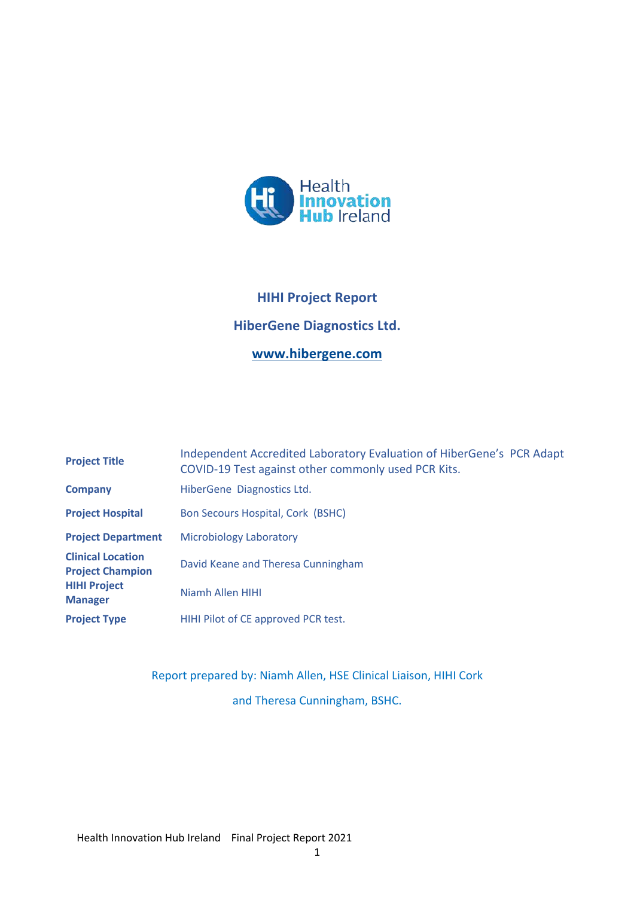

# **HIHI Project Report HiberGene Diagnostics Ltd. www.hibergene.com**

| <b>Project Title</b>                                                                         | Independent Accredited Laboratory Evaluation of HiberGene's PCR Adapt<br>COVID-19 Test against other commonly used PCR Kits. |
|----------------------------------------------------------------------------------------------|------------------------------------------------------------------------------------------------------------------------------|
| <b>Company</b>                                                                               | HiberGene Diagnostics Ltd.                                                                                                   |
| <b>Project Hospital</b>                                                                      | <b>Bon Secours Hospital, Cork (BSHC)</b>                                                                                     |
| <b>Project Department</b>                                                                    | <b>Microbiology Laboratory</b>                                                                                               |
| <b>Clinical Location</b><br><b>Project Champion</b><br><b>HIHI Project</b><br><b>Manager</b> | David Keane and Theresa Cunningham                                                                                           |
|                                                                                              | Niamh Allen HIHI                                                                                                             |
| <b>Project Type</b>                                                                          | HIHI Pilot of CE approved PCR test.                                                                                          |

Report prepared by: Niamh Allen, HSE Clinical Liaison, HIHI Cork and Theresa Cunningham, BSHC.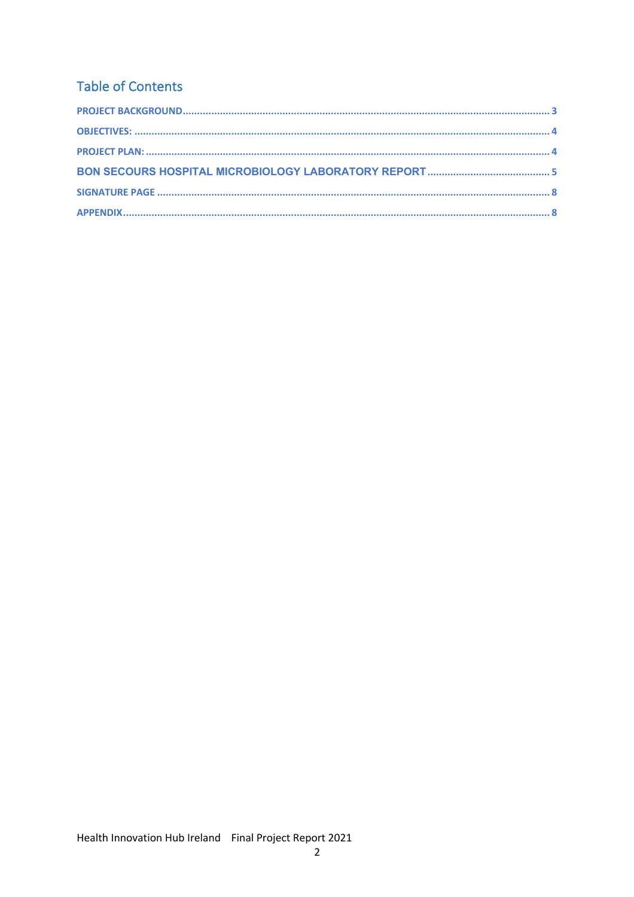## **Table of Contents**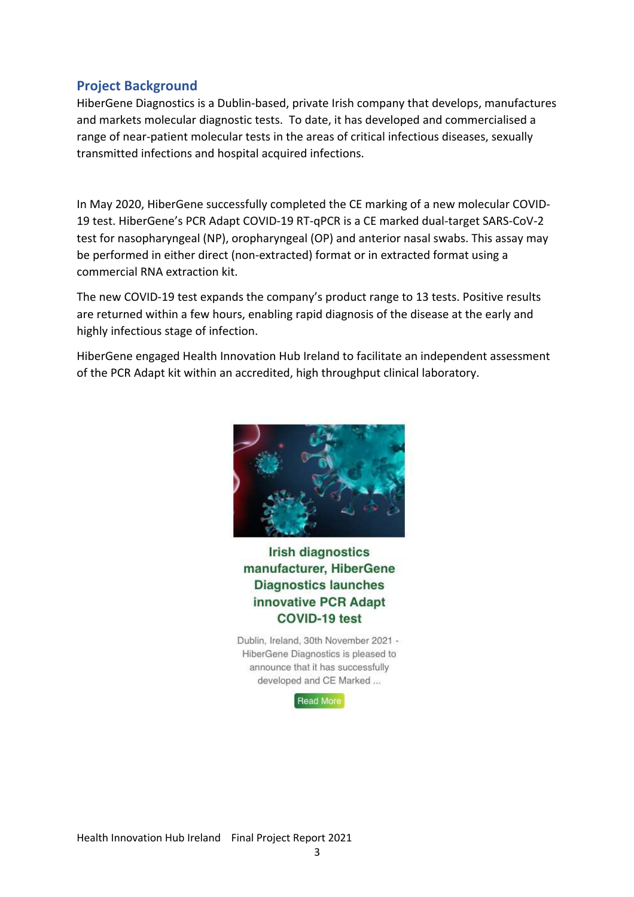### **Project Background**

HiberGene Diagnostics is a Dublin-based, private Irish company that develops, manufactures and markets molecular diagnostic tests. To date, it has developed and commercialised a range of near-patient molecular tests in the areas of critical infectious diseases, sexually transmitted infections and hospital acquired infections.

In May 2020, HiberGene successfully completed the CE marking of a new molecular COVID-19 test. HiberGene's PCR Adapt COVID-19 RT-qPCR is a CE marked dual-target SARS-CoV-2 test for nasopharyngeal (NP), oropharyngeal (OP) and anterior nasal swabs. This assay may be performed in either direct (non-extracted) format or in extracted format using a commercial RNA extraction kit.

The new COVID-19 test expands the company's product range to 13 tests. Positive results are returned within a few hours, enabling rapid diagnosis of the disease at the early and highly infectious stage of infection.

HiberGene engaged Health Innovation Hub Ireland to facilitate an independent assessment of the PCR Adapt kit within an accredited, high throughput clinical laboratory.



## **Irish diagnostics** manufacturer, HiberGene **Diagnostics launches** innovative PCR Adapt COVID-19 test

Dublin, Ireland, 30th November 2021 -HiberGene Diagnostics is pleased to announce that it has successfully developed and CE Marked ...

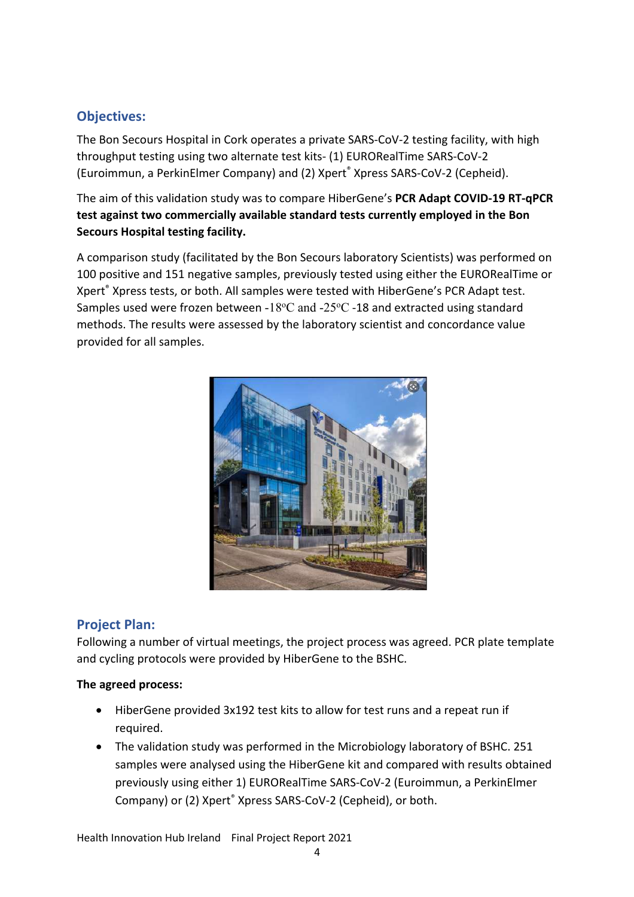## **Objectives:**

The Bon Secours Hospital in Cork operates a private SARS-CoV-2 testing facility, with high throughput testing using two alternate test kits- (1) EURORealTime SARS-CoV-2 (Euroimmun, a PerkinElmer Company) and (2) Xpert® Xpress SARS-CoV-2 (Cepheid).

The aim of this validation study was to compare HiberGene's **PCR Adapt COVID-19 RT-qPCR test against two commercially available standard tests currently employed in the Bon Secours Hospital testing facility.**

A comparison study (facilitated by the Bon Secours laboratory Scientists) was performed on 100 positive and 151 negative samples, previously tested using either the EURORealTime or Xpert® Xpress tests, or both. All samples were tested with HiberGene's PCR Adapt test. Samples used were frozen between -18°C and -25°C -18 and extracted using standard methods. The results were assessed by the laboratory scientist and concordance value provided for all samples.



## **Project Plan:**

Following a number of virtual meetings, the project process was agreed. PCR plate template and cycling protocols were provided by HiberGene to the BSHC.

#### **The agreed process:**

- HiberGene provided 3x192 test kits to allow for test runs and a repeat run if required.
- The validation study was performed in the Microbiology laboratory of BSHC. 251 samples were analysed using the HiberGene kit and compared with results obtained previously using either 1) EURORealTime SARS-CoV-2 (Euroimmun, a PerkinElmer Company) or (2) Xpert® Xpress SARS-CoV-2 (Cepheid), or both.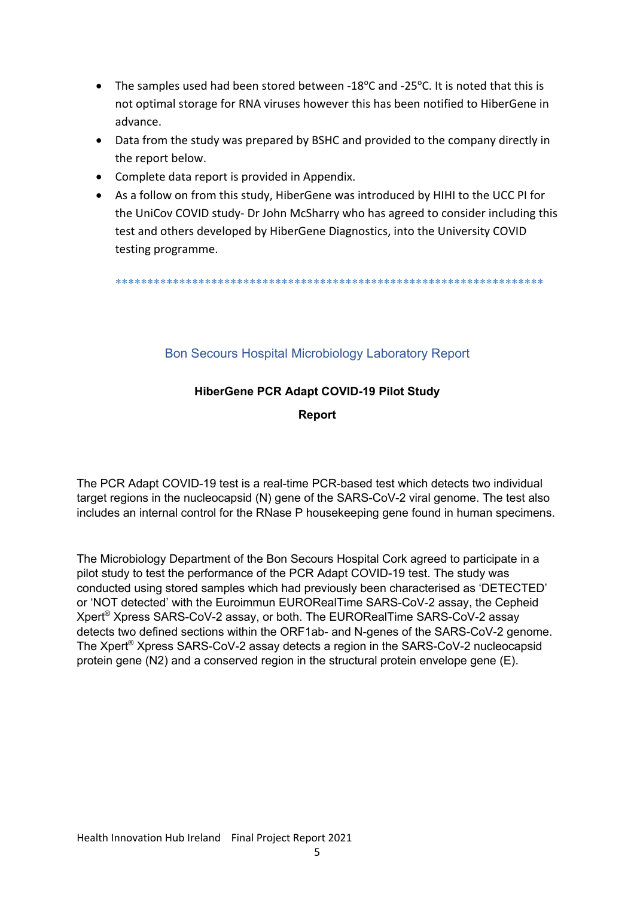- The samples used had been stored between -18 $^{\circ}$ C and -25 $^{\circ}$ C. It is noted that this is not optimal storage for RNA viruses however this has been notified to HiberGene in advance.
- Data from the study was prepared by BSHC and provided to the company directly in the report below.
- Complete data report is provided in Appendix.
- As a follow on from this study, HiberGene was introduced by HIHI to the UCC PI for the UniCov COVID study- Dr John McSharry who has agreed to consider including this test and others developed by HiberGene Diagnostics, into the University COVID testing programme.

\*\*\*\*\*\*\*\*\*\*\*\*\*\*\*\*\*\*\*\*\*\*\*\*\*\*\*\*\*\*\*\*\*\*\*\*\*\*\*\*\*\*\*\*\*\*\*\*\*\*\*\*\*\*\*\*\*\*\*\*\*\*\*\*\*\*\*

#### Bon Secours Hospital Microbiology Laboratory Report

#### **HiberGene PCR Adapt COVID-19 Pilot Study**

**Report**

The PCR Adapt COVID-19 test is a real-time PCR-based test which detects two individual target regions in the nucleocapsid (N) gene of the SARS-CoV-2 viral genome. The test also includes an internal control for the RNase P housekeeping gene found in human specimens.

The Microbiology Department of the Bon Secours Hospital Cork agreed to participate in a pilot study to test the performance of the PCR Adapt COVID-19 test. The study was conducted using stored samples which had previously been characterised as 'DETECTED' or 'NOT detected' with the Euroimmun EURORealTime SARS-CoV-2 assay, the Cepheid Xpert® Xpress SARS-CoV-2 assay, or both. The EURORealTime SARS-CoV-2 assay detects two defined sections within the ORF1ab- and N-genes of the SARS-CoV-2 genome. The Xpert® Xpress SARS-CoV-2 assay detects a region in the SARS-CoV-2 nucleocapsid protein gene (N2) and a conserved region in the structural protein envelope gene (E).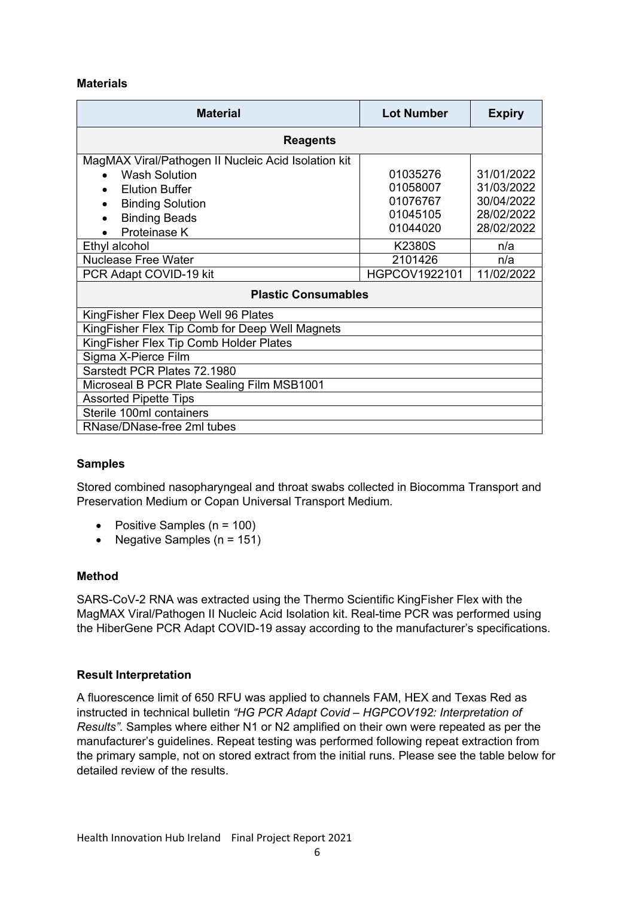#### **Materials**

| <b>Material</b>                                     | <b>Lot Number</b> | <b>Expiry</b> |  |  |
|-----------------------------------------------------|-------------------|---------------|--|--|
| <b>Reagents</b>                                     |                   |               |  |  |
| MagMAX Viral/Pathogen II Nucleic Acid Isolation kit |                   |               |  |  |
| <b>Wash Solution</b>                                | 01035276          | 31/01/2022    |  |  |
| <b>Elution Buffer</b><br>$\bullet$                  | 01058007          | 31/03/2022    |  |  |
| <b>Binding Solution</b><br>$\bullet$                | 01076767          | 30/04/2022    |  |  |
| <b>Binding Beads</b>                                | 01045105          | 28/02/2022    |  |  |
| Proteinase K                                        | 01044020          | 28/02/2022    |  |  |
| Ethyl alcohol                                       | <b>K2380S</b>     | n/a           |  |  |
| <b>Nuclease Free Water</b>                          | 2101426           | n/a           |  |  |
| PCR Adapt COVID-19 kit                              | HGPCOV1922101     | 11/02/2022    |  |  |
| <b>Plastic Consumables</b>                          |                   |               |  |  |
| KingFisher Flex Deep Well 96 Plates                 |                   |               |  |  |
| KingFisher Flex Tip Comb for Deep Well Magnets      |                   |               |  |  |
| KingFisher Flex Tip Comb Holder Plates              |                   |               |  |  |
| Sigma X-Pierce Film                                 |                   |               |  |  |
| Sarstedt PCR Plates 72.1980                         |                   |               |  |  |
| Microseal B PCR Plate Sealing Film MSB1001          |                   |               |  |  |
| <b>Assorted Pipette Tips</b>                        |                   |               |  |  |
| Sterile 100ml containers                            |                   |               |  |  |
| RNase/DNase-free 2ml tubes                          |                   |               |  |  |

#### **Samples**

Stored combined nasopharyngeal and throat swabs collected in Biocomma Transport and Preservation Medium or Copan Universal Transport Medium.

- Positive Samples  $(n = 100)$
- Negative Samples  $(n = 151)$

#### **Method**

SARS-CoV-2 RNA was extracted using the Thermo Scientific KingFisher Flex with the MagMAX Viral/Pathogen II Nucleic Acid Isolation kit. Real-time PCR was performed using the HiberGene PCR Adapt COVID-19 assay according to the manufacturer's specifications.

#### **Result Interpretation**

A fluorescence limit of 650 RFU was applied to channels FAM, HEX and Texas Red as instructed in technical bulletin *"HG PCR Adapt Covid – HGPCOV192: Interpretation of Results".* Samples where either N1 or N2 amplified on their own were repeated as per the manufacturer's guidelines. Repeat testing was performed following repeat extraction from the primary sample, not on stored extract from the initial runs. Please see the table below for detailed review of the results.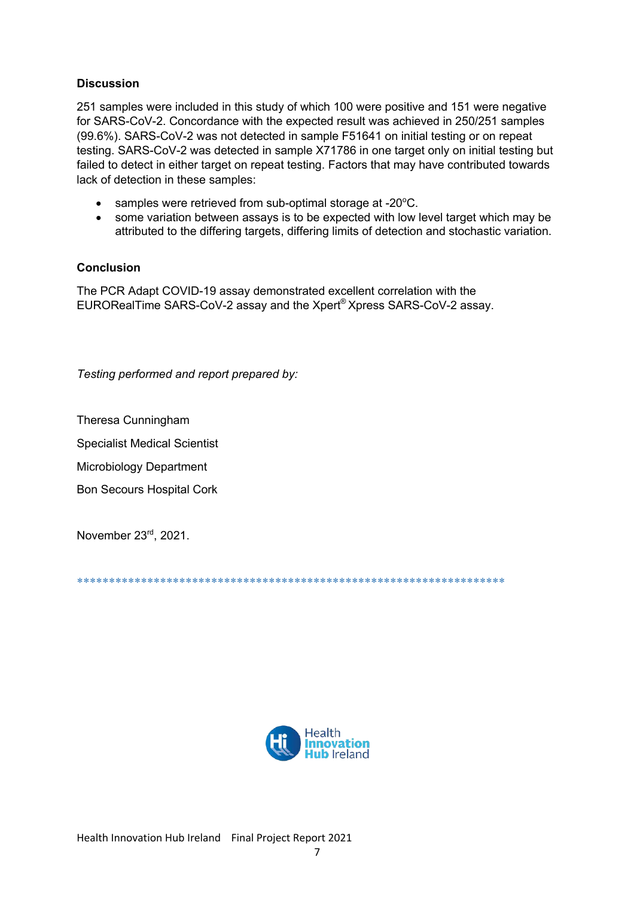#### **Discussion**

251 samples were included in this study of which 100 were positive and 151 were negative for SARS-CoV-2. Concordance with the expected result was achieved in 250/251 samples (99.6%). SARS-CoV-2 was not detected in sample F51641 on initial testing or on repeat testing. SARS-CoV-2 was detected in sample X71786 in one target only on initial testing but failed to detect in either target on repeat testing. Factors that may have contributed towards lack of detection in these samples:

- samples were retrieved from sub-optimal storage at -20°C.
- some variation between assays is to be expected with low level target which may be  $\bullet$ attributed to the differing targets, differing limits of detection and stochastic variation.

#### Conclusion

The PCR Adapt COVID-19 assay demonstrated excellent correlation with the EURORealTime SARS-CoV-2 assay and the Xpert® Xpress SARS-CoV-2 assay.

Testing performed and report prepared by:

Theresa Cunningham

**Specialist Medical Scientist** 

**Microbiology Department** 

**Bon Secours Hospital Cork** 

November 23rd, 2021.